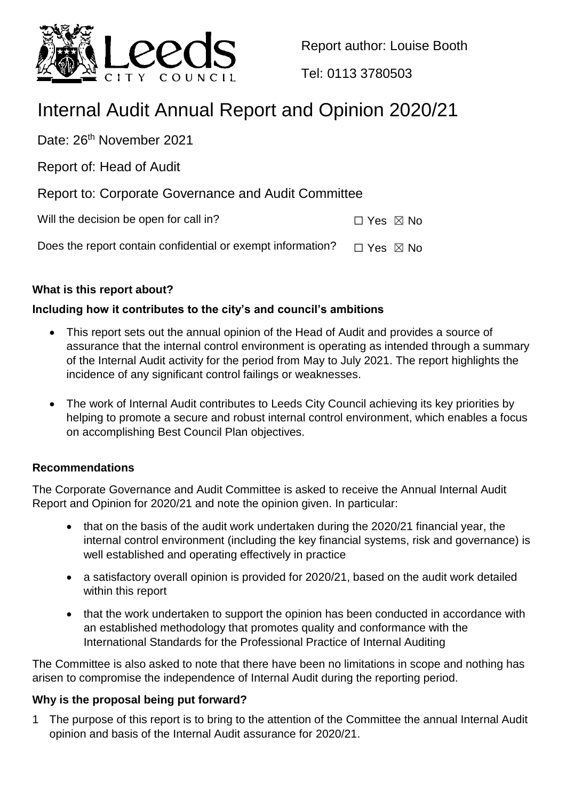

Report author: Louise Booth

Tel: 0113 3780503

# Internal Audit Annual Report and Opinion 2020/21

Date: 26<sup>th</sup> November 2021

Report of: Head of Audit

Report to: Corporate Governance and Audit Committee

Will the decision be open for call in?  $\Box$  Yes  $\boxtimes$  No

Does the report contain confidential or exempt information?  $\Box$  Yes  $\boxtimes$  No

# **What is this report about?**

# **Including how it contributes to the city's and council's ambitions**

- This report sets out the annual opinion of the Head of Audit and provides a source of assurance that the internal control environment is operating as intended through a summary of the Internal Audit activity for the period from May to July 2021. The report highlights the incidence of any significant control failings or weaknesses.
- The work of Internal Audit contributes to Leeds City Council achieving its key priorities by helping to promote a secure and robust internal control environment, which enables a focus on accomplishing Best Council Plan objectives.

# **Recommendations**

The Corporate Governance and Audit Committee is asked to receive the Annual Internal Audit Report and Opinion for 2020/21 and note the opinion given. In particular:

- that on the basis of the audit work undertaken during the 2020/21 financial year, the internal control environment (including the key financial systems, risk and governance) is well established and operating effectively in practice
- a satisfactory overall opinion is provided for 2020/21, based on the audit work detailed within this report
- that the work undertaken to support the opinion has been conducted in accordance with an established methodology that promotes quality and conformance with the International Standards for the Professional Practice of Internal Auditing

The Committee is also asked to note that there have been no limitations in scope and nothing has arisen to compromise the independence of Internal Audit during the reporting period.

# **Why is the proposal being put forward?**

1 The purpose of this report is to bring to the attention of the Committee the annual Internal Audit opinion and basis of the Internal Audit assurance for 2020/21.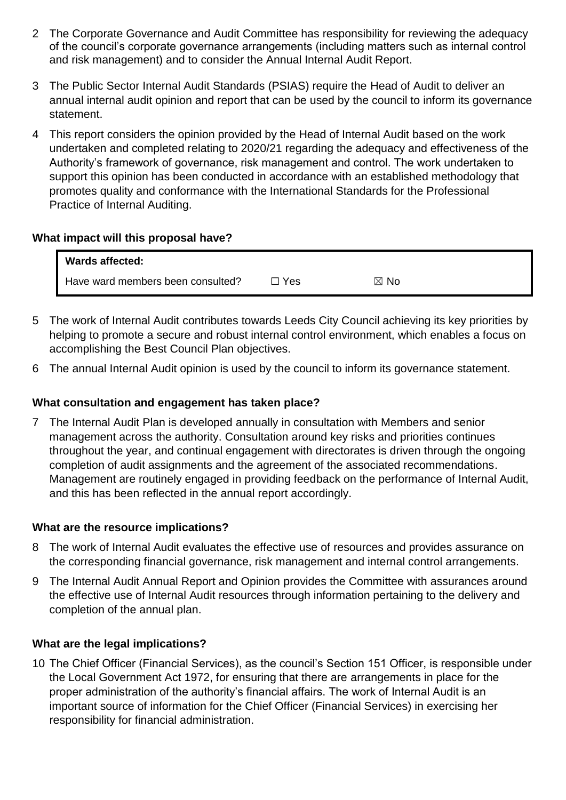- 2 The Corporate Governance and Audit Committee has responsibility for reviewing the adequacy of the council's corporate governance arrangements (including matters such as internal control and risk management) and to consider the Annual Internal Audit Report.
- 3 The Public Sector Internal Audit Standards (PSIAS) require the Head of Audit to deliver an annual internal audit opinion and report that can be used by the council to inform its governance statement.
- 4 This report considers the opinion provided by the Head of Internal Audit based on the work undertaken and completed relating to 2020/21 regarding the adequacy and effectiveness of the Authority's framework of governance, risk management and control. The work undertaken to support this opinion has been conducted in accordance with an established methodology that promotes quality and conformance with the International Standards for the Professional Practice of Internal Auditing.

## **What impact will this proposal have?**

| <b>Wards affected:</b>            |     |                |
|-----------------------------------|-----|----------------|
| Have ward members been consulted? | Yes | $\boxtimes$ No |

- 5 The work of Internal Audit contributes towards Leeds City Council achieving its key priorities by helping to promote a secure and robust internal control environment, which enables a focus on accomplishing the Best Council Plan objectives.
- 6 The annual Internal Audit opinion is used by the council to inform its governance statement.

## **What consultation and engagement has taken place?**

7 The Internal Audit Plan is developed annually in consultation with Members and senior management across the authority. Consultation around key risks and priorities continues throughout the year, and continual engagement with directorates is driven through the ongoing completion of audit assignments and the agreement of the associated recommendations. Management are routinely engaged in providing feedback on the performance of Internal Audit, and this has been reflected in the annual report accordingly.

#### **What are the resource implications?**

- 8 The work of Internal Audit evaluates the effective use of resources and provides assurance on the corresponding financial governance, risk management and internal control arrangements.
- 9 The Internal Audit Annual Report and Opinion provides the Committee with assurances around the effective use of Internal Audit resources through information pertaining to the delivery and completion of the annual plan.

#### **What are the legal implications?**

10 The Chief Officer (Financial Services), as the council's Section 151 Officer, is responsible under the Local Government Act 1972, for ensuring that there are arrangements in place for the proper administration of the authority's financial affairs. The work of Internal Audit is an important source of information for the Chief Officer (Financial Services) in exercising her responsibility for financial administration.